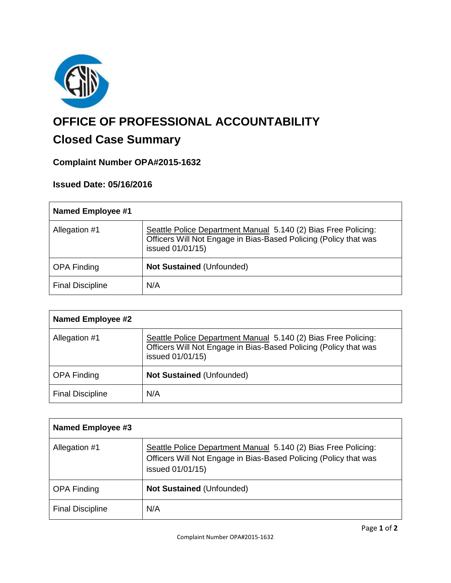

# **OFFICE OF PROFESSIONAL ACCOUNTABILITY**

## **Closed Case Summary**

### **Complaint Number OPA#2015-1632**

### **Issued Date: 05/16/2016**

| <b>Named Employee #1</b> |                                                                                                                                                        |
|--------------------------|--------------------------------------------------------------------------------------------------------------------------------------------------------|
| Allegation #1            | Seattle Police Department Manual 5.140 (2) Bias Free Policing:<br>Officers Will Not Engage in Bias-Based Policing (Policy that was<br>issued 01/01/15) |
| <b>OPA Finding</b>       | <b>Not Sustained (Unfounded)</b>                                                                                                                       |
| <b>Final Discipline</b>  | N/A                                                                                                                                                    |

| <b>Named Employee #2</b> |                                                                                                                                                        |
|--------------------------|--------------------------------------------------------------------------------------------------------------------------------------------------------|
| Allegation #1            | Seattle Police Department Manual 5.140 (2) Bias Free Policing:<br>Officers Will Not Engage in Bias-Based Policing (Policy that was<br>issued 01/01/15) |
| <b>OPA Finding</b>       | <b>Not Sustained (Unfounded)</b>                                                                                                                       |
| <b>Final Discipline</b>  | N/A                                                                                                                                                    |

| Named Employee #3       |                                                                                                                                                        |
|-------------------------|--------------------------------------------------------------------------------------------------------------------------------------------------------|
| Allegation #1           | Seattle Police Department Manual 5.140 (2) Bias Free Policing:<br>Officers Will Not Engage in Bias-Based Policing (Policy that was<br>issued 01/01/15) |
| <b>OPA Finding</b>      | <b>Not Sustained (Unfounded)</b>                                                                                                                       |
| <b>Final Discipline</b> | N/A                                                                                                                                                    |